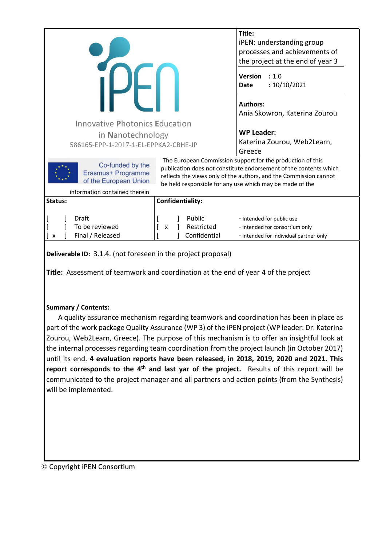|                                                                                               |  | Title:                                                                                                                                                                                                                                                           |  |
|-----------------------------------------------------------------------------------------------|--|------------------------------------------------------------------------------------------------------------------------------------------------------------------------------------------------------------------------------------------------------------------|--|
|                                                                                               |  | iPEN: understanding group                                                                                                                                                                                                                                        |  |
|                                                                                               |  | processes and achievements of                                                                                                                                                                                                                                    |  |
|                                                                                               |  | the project at the end of year 3                                                                                                                                                                                                                                 |  |
|                                                                                               |  | <b>Version</b><br>: 1.0<br>:10/10/2021<br><b>Date</b>                                                                                                                                                                                                            |  |
|                                                                                               |  | <b>Authors:</b><br>Ania Skowron, Katerina Zourou                                                                                                                                                                                                                 |  |
| <b>Innovative Photonics Education</b>                                                         |  |                                                                                                                                                                                                                                                                  |  |
| in Nanotechnology                                                                             |  | <b>WP Leader:</b>                                                                                                                                                                                                                                                |  |
| 586165-EPP-1-2017-1-EL-EPPKA2-CBHE-JP                                                         |  | Katerina Zourou, Web2Learn,                                                                                                                                                                                                                                      |  |
|                                                                                               |  | Greece                                                                                                                                                                                                                                                           |  |
| Co-funded by the<br>Erasmus+ Programme<br>of the European Union                               |  | The European Commission support for the production of this<br>publication does not constitute endorsement of the contents which<br>reflects the views only of the authors, and the Commission cannot<br>be held responsible for any use which may be made of the |  |
| information contained therein                                                                 |  |                                                                                                                                                                                                                                                                  |  |
| Confidentiality:<br>Status:                                                                   |  |                                                                                                                                                                                                                                                                  |  |
| Draft<br>Public<br>To be reviewed<br>Restricted<br>X<br>Final / Released<br>Confidential<br>X |  | - Intended for public use<br>- Intended for consortium only<br>- Intended for individual partner only                                                                                                                                                            |  |
| Deliverable ID: 3.1.4. (not foreseen in the project proposal)                                 |  |                                                                                                                                                                                                                                                                  |  |

**Title:** Assessment of teamwork and coordination at the end of year 4 of the project

### **Summary / Contents:**

A quality assurance mechanism regarding teamwork and coordination has been in place as part of the work package Quality Assurance (WP 3) of the iPEN project (WP leader: Dr. Katerina Zourou, Web2Learn, Greece). The purpose of this mechanism is to offer an insightful look at the internal processes regarding team coordination from the project launch (in October 2017) until its end. **4 evaluation reports have been released, in 2018, 2019, 2020 and 2021. This report corresponds to the 4th and last yar of the project.** Results of this report will be communicated to the project manager and all partners and action points (from the Synthesis) will be implemented.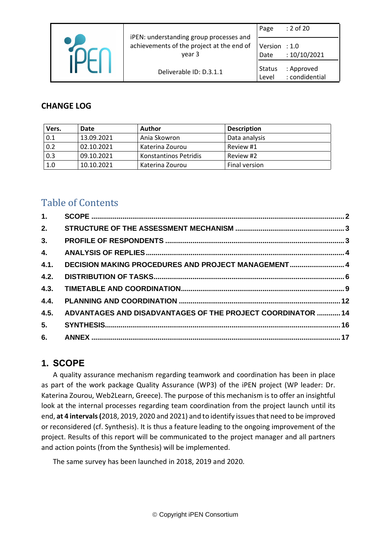|  | iPEN: understanding group processes and             | Page                   | : 2 of 20                    |
|--|-----------------------------------------------------|------------------------|------------------------------|
|  | achievements of the project at the end of<br>year 3 | Version : 1.0<br>Date  | :10/10/2021                  |
|  | Deliverable ID: D.3.1.1                             | <b>Status</b><br>Level | : Approved<br>: condidential |

## **CHANGE LOG**

| Vers. | Date       | Author                | <b>Description</b> |
|-------|------------|-----------------------|--------------------|
| 0.1   | 13.09.2021 | Ania Skowron          | Data analysis      |
| 0.2   | 02.10.2021 | Katerina Zourou       | Review #1          |
| 0.3   | 09.10.2021 | Konstantinos Petridis | Review #2          |
| 1.0   | 10.10.2021 | Katerina Zourou       | Final version      |

# Table of Contents

| 1.   |                                                                  |  |
|------|------------------------------------------------------------------|--|
| 2.   |                                                                  |  |
| 3.   |                                                                  |  |
| 4.   |                                                                  |  |
| 4.1. | DECISION MAKING PROCEDURES AND PROJECT MANAGEMENT 4              |  |
| 4.2. |                                                                  |  |
|      |                                                                  |  |
| 4.4. |                                                                  |  |
|      | 4.5. ADVANTAGES AND DISADVANTAGES OF THE PROJECT COORDINATOR  14 |  |
|      |                                                                  |  |
|      |                                                                  |  |

## <span id="page-1-0"></span>**1. SCOPE**

A quality assurance mechanism regarding teamwork and coordination has been in place as part of the work package Quality Assurance (WP3) of the iPEN project (WP leader: Dr. Katerina Zourou, Web2Learn, Greece). The purpose of this mechanism is to offer an insightful look at the internal processes regarding team coordination from the project launch until its end, **at 4 intervals (**2018, 2019, 2020 and 2021) and to identify issues that need to be improved or reconsidered (cf. Synthesis). It is thus a feature leading to the ongoing improvement of the project. Results of this report will be communicated to the project manager and all partners and action points (from the Synthesis) will be implemented.

The same survey has been launched in 2018, 2019 and 2020.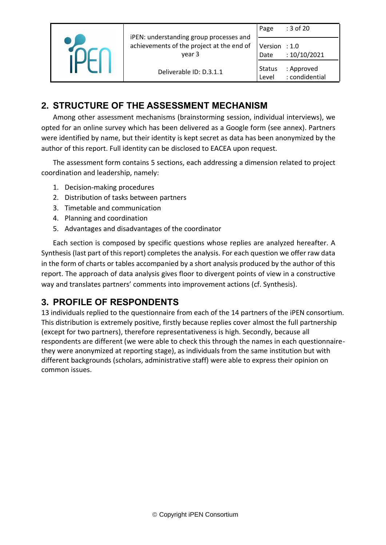|  | iPEN: understanding group processes and             | Page                  | : 3 of 20                    |
|--|-----------------------------------------------------|-----------------------|------------------------------|
|  | achievements of the project at the end of<br>year 3 | Version : 1.0<br>Date | :10/10/2021                  |
|  | Deliverable ID: D.3.1.1                             | Status<br>Level       | : Approved<br>: condidential |

## <span id="page-2-0"></span>**2. STRUCTURE OF THE ASSESSMENT MECHANISM**

Among other assessment mechanisms (brainstorming session, individual interviews), we opted for an online survey which has been delivered as a Google form (see annex). Partners were identified by name, but their identity is kept secret as data has been anonymized by the author of this report. Full identity can be disclosed to EACEA upon request.

The assessment form contains 5 sections, each addressing a dimension related to project coordination and leadership, namely:

- 1. Decision-making procedures
- 2. Distribution of tasks between partners
- 3. Timetable and communication
- 4. Planning and coordination
- 5. Advantages and disadvantages of the coordinator

Each section is composed by specific questions whose replies are analyzed hereafter. A Synthesis (last part of this report) completes the analysis. For each question we offer raw data in the form of charts or tables accompanied by a short analysis produced by the author of this report. The approach of data analysis gives floor to divergent points of view in a constructive way and translates partners' comments into improvement actions (cf. Synthesis).

## <span id="page-2-1"></span>**3. PROFILE OF RESPONDENTS**

13 individuals replied to the questionnaire from each of the 14 partners of the iPEN consortium. This distribution is extremely positive, firstly because replies cover almost the full partnership (except for two partners), therefore representativeness is high. Secondly, because all respondents are different (we were able to check this through the names in each questionnairethey were anonymized at reporting stage), as individuals from the same institution but with different backgrounds (scholars, administrative staff) were able to express their opinion on common issues.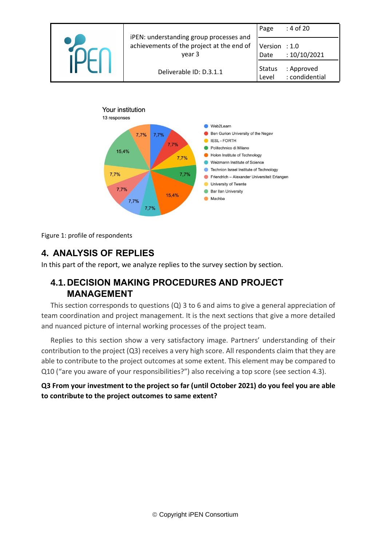



Figure 1: profile of respondents

## <span id="page-3-0"></span>**4. ANALYSIS OF REPLIES**

In this part of the report, we analyze replies to the survey section by section.

## <span id="page-3-1"></span>**4.1.DECISION MAKING PROCEDURES AND PROJECT MANAGEMENT**

This section corresponds to questions (Q) 3 to 6 and aims to give a general appreciation of team coordination and project management. It is the next sections that give a more detailed and nuanced picture of internal working processes of the project team.

Replies to this section show a very satisfactory image. Partners' understanding of their contribution to the project (Q3) receives a very high score. All respondents claim that they are able to contribute to the project outcomes at some extent. This element may be compared to Q10 ("are you aware of your responsibilities?") also receiving a top score (see section 4.3).

**Q3 From your investment to the project so far (until October 2021) do you feel you are able to contribute to the project outcomes to same extent?**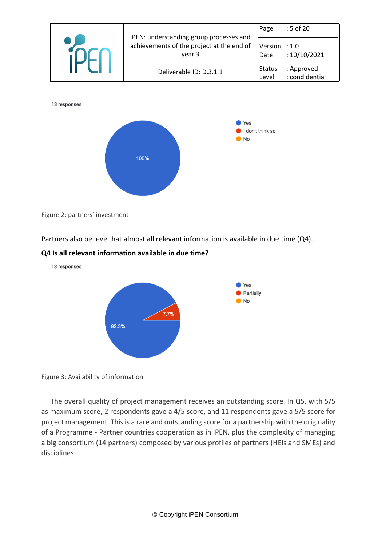

Figure 2: partners' investment

Partners also believe that almost all relevant information is available in due time (Q4).

#### **Q4 Is all relevant information available in due time?**



#### Figure 3: Availability of information

The overall quality of project management receives an outstanding score. In Q5, with 5/5 as maximum score, 2 respondents gave a 4/5 score, and 11 respondents gave a 5/5 score for project management. This is a rare and outstanding score for a partnership with the originality of a Programme - Partner countries cooperation as in iPEN, plus the complexity of managing a big consortium (14 partners) composed by various profiles of partners (HEIs and SMEs) and disciplines.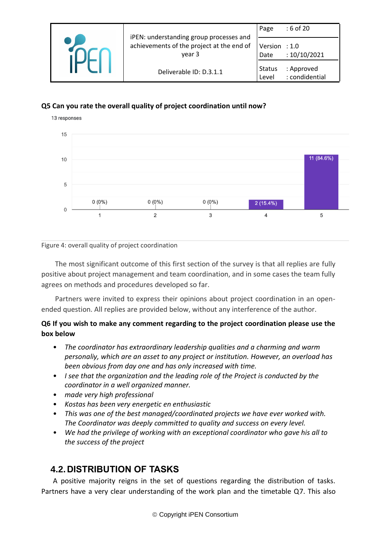|  | iPEN: understanding group processes and             | Page                    | $: 6$ of 20                  |
|--|-----------------------------------------------------|-------------------------|------------------------------|
|  | achievements of the project at the end of<br>year 3 | Version : $1.0$<br>Date | :10/10/2021                  |
|  | Deliverable ID: D.3.1.1                             | <b>Status</b><br>Level  | : Approved<br>: condidential |

## **Q5 Can you rate the overall quality of project coordination until now?**



Figure 4: overall quality of project coordination

The most significant outcome of this first section of the survey is that all replies are fully positive about project management and team coordination, and in some cases the team fully agrees on methods and procedures developed so far.

Partners were invited to express their opinions about project coordination in an openended question. All replies are provided below, without any interference of the author.

## **Q6 If you wish to make any comment regarding to the project coordination please use the box below**

- *The coordinator has extraordinary leadership qualities and a charming and warm personaliy, which are an asset to any project or institution. However, an overload has been obvious from day one and has only increased with time.*
- *I see that the organization and the leading role of the Project is conducted by the coordinator in a well organized manner.*
- *made very high professional*
- *Kostas has been very energetic en enthusiastic*
- *This was one of the best managed/coordinated projects we have ever worked with. The Coordinator was deeply committed to quality and success on every level.*
- *We had the privilege of working with an exceptional coordinator who gave his all to the success of the project*

## **4.2.DISTRIBUTION OF TASKS**

A positive majority reigns in the set of questions regarding the distribution of tasks. Partners have a very clear understanding of the work plan and the timetable Q7. This also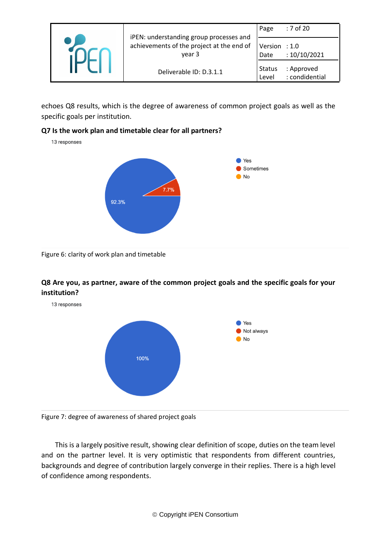|  | iPEN: understanding group processes and             | Page                   | : 7 of 20                    |
|--|-----------------------------------------------------|------------------------|------------------------------|
|  | achievements of the project at the end of<br>year 3 | Version<br>Date        | $\div$ 1.0<br>: 10/10/2021   |
|  | Deliverable ID: D.3.1.1                             | <b>Status</b><br>Level | : Approved<br>: condidential |

echoes Q8 results, which is the degree of awareness of common project goals as well as the specific goals per institution.

#### **Q7 Is the work plan and timetable clear for all partners?**

13 responses



Figure 6: clarity of work plan and timetable

## **Q8 Are you, as partner, aware of the common project goals and the specific goals for your institution?**



Figure 7: degree of awareness of shared project goals

This is a largely positive result, showing clear definition of scope, duties on the team level and on the partner level. It is very optimistic that respondents from different countries, backgrounds and degree of contribution largely converge in their replies. There is a high level of confidence among respondents.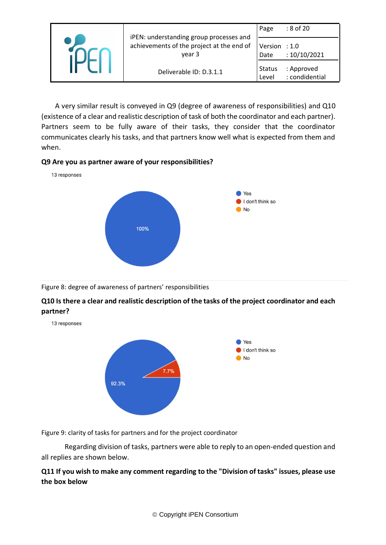| iPEN: understanding group processes and             | Page                    | : 8 of 20                    |
|-----------------------------------------------------|-------------------------|------------------------------|
| achievements of the project at the end of<br>year 3 | Version $: 1.0$<br>Date | : 10/10/2021                 |
| Deliverable ID: D.3.1.1                             | <b>Status</b><br>Level  | : Approved<br>: condidential |

A very similar result is conveyed in Q9 (degree of awareness of responsibilities) and Q10 (existence of a clear and realistic description of task of both the coordinator and each partner). Partners seem to be fully aware of their tasks, they consider that the coordinator communicates clearly his tasks, and that partners know well what is expected from them and when.

#### **Q9 Are you as partner aware of your responsibilities?**



### Figure 8: degree of awareness of partners' responsibilities

## **Q10 Is there a clear and realistic description of the tasks of the project coordinator and each partner?**

13 responses



Figure 9: clarity of tasks for partners and for the project coordinator

Regarding division of tasks, partners were able to reply to an open-ended question and all replies are shown below.

## **Q11 If you wish to make any comment regarding to the "Division of tasks" issues, please use the box below**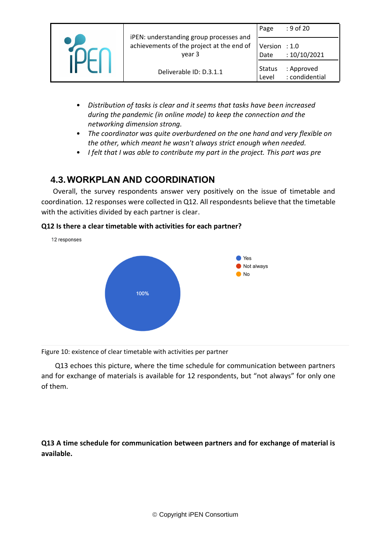|  | iPEN: understanding group processes and             | Page                   | $: 9$ of 20                  |
|--|-----------------------------------------------------|------------------------|------------------------------|
|  | achievements of the project at the end of<br>year 3 | Version : 1.0<br>Date  | :10/10/2021                  |
|  | Deliverable ID: D.3.1.1                             | <b>Status</b><br>Level | : Approved<br>: condidential |

- *Distribution of tasks is clear and it seems that tasks have been increased during the pandemic (in online mode) to keep the connection and the networking dimension strong.*
- *The coordinator was quite overburdened on the one hand and very flexible on the other, which meant he wasn't always strict enough when needed.*
- *I felt that I was able to contribute my part in the project. This part was pre*

## <span id="page-8-0"></span>**4.3.WORKPLAN AND COORDINATION**

Overall, the survey respondents answer very positively on the issue of timetable and coordination. 12 responses were collected in Q12. All respondesnts believe that the timetable with the activities divided by each partner is clear.

### **Q12 Is there a clear timetable with activities for each partner?**



Figure 10: existence of clear timetable with activities per partner

Q13 echoes this picture, where the time schedule for communication between partners and for exchange of materials is available for 12 respondents, but "not always" for only one of them.

**Q13 A time schedule for communication between partners and for exchange of material is available.**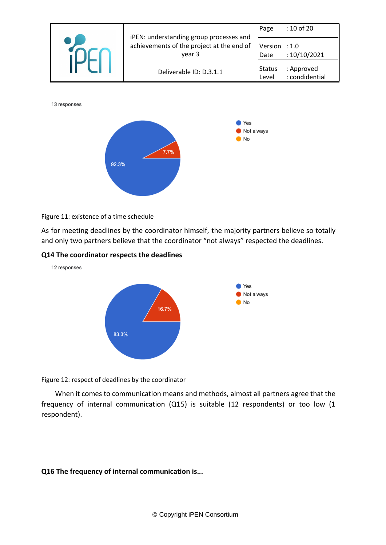

#### Figure 11: existence of a time schedule

As for meeting deadlines by the coordinator himself, the majority partners believe so totally and only two partners believe that the coordinator "not always" respected the deadlines.

#### **Q14 The coordinator respects the deadlines**

92.3%

12 responses



Figure 12: respect of deadlines by the coordinator

When it comes to communication means and methods, almost all partners agree that the frequency of internal communication (Q15) is suitable (12 respondents) or too low (1 respondent).

#### **Q16 The frequency of internal communication is...**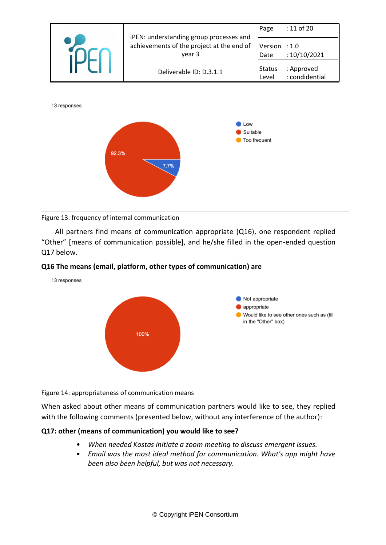

#### Figure 13: frequency of internal communication

All partners find means of communication appropriate (Q16), one respondent replied "Other" [means of communication possible], and he/she filled in the open-ended question Q17 below.

#### **Q16 The means (email, platform, other types of communication) are**



Figure 14: appropriateness of communication means

When asked about other means of communication partners would like to see, they replied with the following comments (presented below, without any interference of the author):

#### **Q17: other (means of communication) you would like to see?**

- *When needed Kostas initiate a zoom meeting to discuss emergent issues.*
- *Email was the most ideal method for communication. What's app might have been also been helpful, but was not necessary.*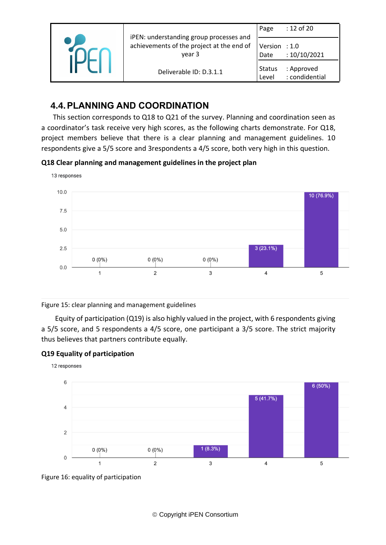|  | iPEN: understanding group processes and             | Page                   | : 12 of 20                   |
|--|-----------------------------------------------------|------------------------|------------------------------|
|  | achievements of the project at the end of<br>vear 3 | Version : 1.0<br>Date  | : 10/10/2021                 |
|  | Deliverable ID: D.3.1.1                             | <b>Status</b><br>Level | : Approved<br>: condidential |

## <span id="page-11-0"></span>**4.4.PLANNING AND COORDINATION**

This section corresponds to Q18 to Q21 of the survey. Planning and coordination seen as a coordinator's task receive very high scores, as the following charts demonstrate. For Q18, project members believe that there is a clear planning and management guidelines. 10 respondents give a 5/5 score and 3respondents a 4/5 score, both very high in this question.

### **Q18 Clear planning and management guidelines in the project plan**



Figure 15: clear planning and management guidelines

Equity of participation (Q19) is also highly valued in the project, with 6 respondents giving a 5/5 score, and 5 respondents a 4/5 score, one participant a 3/5 score. The strict majority thus believes that partners contribute equally.

### **Q19 Equality of participation**



Figure 16: equality of participation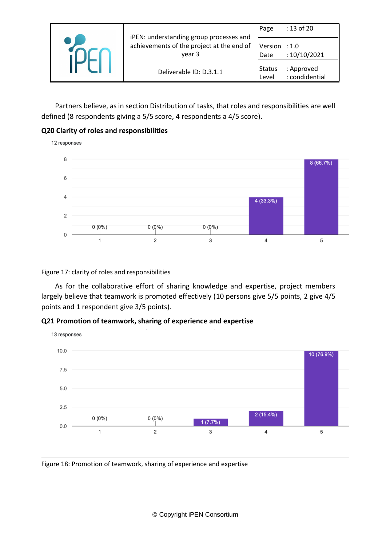|  | iPEN: understanding group processes and             | Page                   | : 13 of 20                   |
|--|-----------------------------------------------------|------------------------|------------------------------|
|  | achievements of the project at the end of<br>year 3 | Version : 1.0<br>Date  | :10/10/2021                  |
|  | Deliverable ID: D.3.1.1                             | <b>Status</b><br>Level | : Approved<br>: condidential |

Partners believe, as in section Distribution of tasks, that roles and responsibilities are well defined (8 respondents giving a 5/5 score, 4 respondents a 4/5 score).

### **Q20 Clarity of roles and responsibilities**

12 responses 8  $8(66.7%)$ 6  $\overline{4}$ 4 (33.3%)  $\overline{2}$  $0(0\%)$  $0(0\%)$  $0(0\%)$  $\overline{0}$  $\mathbf{1}$  $\overline{2}$ 3  $\overline{4}$ 5

#### Figure 17: clarity of roles and responsibilities

As for the collaborative effort of sharing knowledge and expertise, project members largely believe that teamwork is promoted effectively (10 persons give 5/5 points, 2 give 4/5 points and 1 respondent give 3/5 points).

#### **Q21 Promotion of teamwork, sharing of experience and expertise**



Figure 18: Promotion of teamwork, sharing of experience and expertise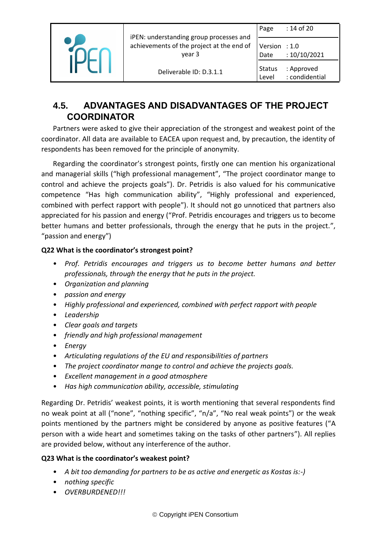|  | iPEN: understanding group processes and             | Page                    | : 14 of 20                   |
|--|-----------------------------------------------------|-------------------------|------------------------------|
|  | achievements of the project at the end of<br>vear 3 | Version $: 1.0$<br>Date | :10/10/2021                  |
|  | Deliverable ID: D.3.1.1                             | <b>Status</b><br>Level  | : Approved<br>: condidential |

## <span id="page-13-0"></span>**4.5. ADVANTAGES AND DISADVANTAGES OF THE PROJECT COORDINATOR**

Partners were asked to give their appreciation of the strongest and weakest point of the coordinator. All data are available to EACEA upon request and, by precaution, the identity of respondents has been removed for the principle of anonymity.

Regarding the coordinator's strongest points, firstly one can mention his organizational and managerial skills ("high professional management", "The project coordinator mange to control and achieve the projects goals"). Dr. Petridis is also valued for his communicative competence "Has high communication ability", "Highly professional and experienced, combined with perfect rapport with people"). It should not go unnoticed that partners also appreciated for his passion and energy ("Prof. Petridis encourages and triggers us to become better humans and better professionals, through the energy that he puts in the project.", "passion and energy")

## **Q22 What is the coordinator's strongest point?**

- *Prof. Petridis encourages and triggers us to become better humans and better professionals, through the energy that he puts in the project.*
- *Organization and planning*
- *passion and energy*
- *Highly professional and experienced, combined with perfect rapport with people*
- *Leadership*
- *Clear goals and targets*
- *friendly and high professional management*
- *Energy*
- *Articulating regulations of the EU and responsibilities of partners*
- *The project coordinator mange to control and achieve the projects goals.*
- *Excellent management in a good atmosphere*
- *Has high communication ability, accessible, stimulating*

Regarding Dr. Petridis' weakest points, it is worth mentioning that several respondents find no weak point at all ("none", "nothing specific", "n/a", "No real weak points") or the weak points mentioned by the partners might be considered by anyone as positive features ("A person with a wide heart and sometimes taking on the tasks of other partners"). All replies are provided below, without any interference of the author.

## **Q23 What is the coordinator's weakest point?**

- *A bit too demanding for partners to be as active and energetic as Kostas is:-)*
- *nothing specific*
- *OVERBURDENED!!!*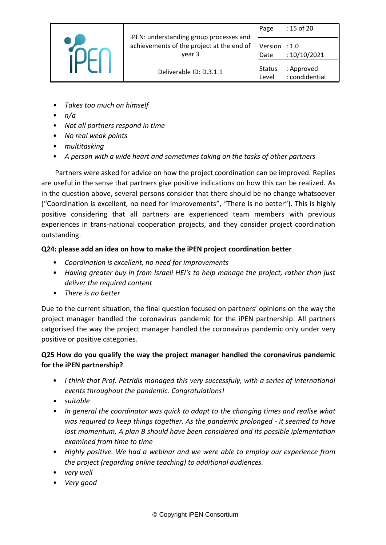|  | iPEN: understanding group processes and<br>achievements of the project at the end of<br>year 3 | Page                    | : 15 of 20                   |
|--|------------------------------------------------------------------------------------------------|-------------------------|------------------------------|
|  |                                                                                                | Version $: 1.0$<br>Date | :10/10/2021                  |
|  | Deliverable ID: D.3.1.1                                                                        | <b>Status</b><br>Level  | : Approved<br>: condidential |

- *Takes too much on himself*
- *n/a*
- *Not all partners respond in time*
- *No real weak points*
- *multitasking*
- *A person with a wide heart and sometimes taking on the tasks of other partners*

Partners were asked for advice on how the project coordination can be improved. Replies are useful in the sense that partners give positive indications on how this can be realized. As in the question above, several persons consider that there should be no change whatsoever ("Coordination is excellent, no need for improvements", "There is no better"). This is highly positive considering that all partners are experienced team members with previous experiences in trans-national cooperation projects, and they consider project coordination outstanding.

### **Q24: please add an idea on how to make the iPEN project coordination better**

- *Coordination is excellent, no need for improvements*
- *Having greater buy in from Israeli HEI's to help manage the project, rather than just deliver the required content*
- *There is no better*

Due to the current situation, the final question focused on partners' opinions on the way the project manager handled the coronavirus pandemic for the iPEN partnership. All partners catgorised the way the project manager handled the coronavirus pandemic only under very positive or positive categories.

## **Q25 How do you qualify the way the project manager handled the coronavirus pandemic for the iPEN partnership?**

- *I think that Prof. Petridis managed this very successfuly, with a series of international events throughout the pandemic. Congratulations!*
- *suitable*
- *In general the coordinator was quick to adapt to the changing times and realise what was required to keep things together. As the pandemic prolonged - it seemed to have lost momentum. A plan B should have been considered and its possible iplementation examined from time to time*
- *Highly positive. We had a webinar and we were able to employ our experience from the project (regarding online teaching) to additional audiences.*
- *very well*
- *Very good*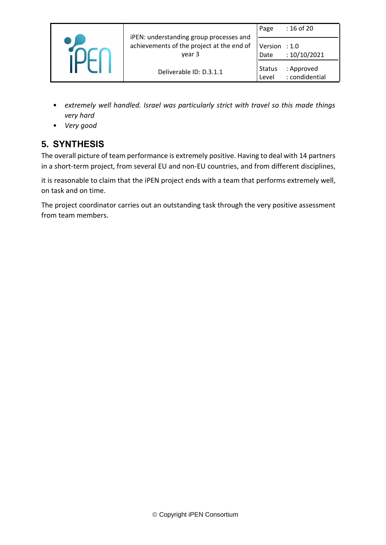|  | iPEN: understanding group processes and<br>achievements of the project at the end of<br>year 3 | Page                   | : 16 of 20                   |
|--|------------------------------------------------------------------------------------------------|------------------------|------------------------------|
|  |                                                                                                | Version : 1.0<br>Date  | :10/10/2021                  |
|  | Deliverable ID: D.3.1.1                                                                        | <b>Status</b><br>Level | : Approved<br>: condidential |

- *extremely well handled. Israel was particularly strict with travel so this made things very hard*
- *Very good*

# <span id="page-15-0"></span>**5. SYNTHESIS**

The overall picture of team performance is extremely positive. Having to deal with 14 partners in a short-term project, from several EU and non-EU countries, and from different disciplines,

it is reasonable to claim that the iPEN project ends with a team that performs extremely well, on task and on time.

The project coordinator carries out an outstanding task through the very positive assessment from team members.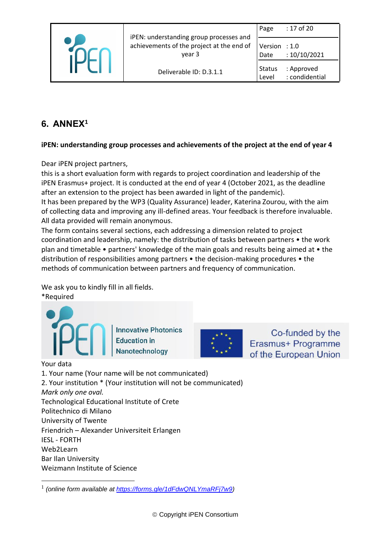

iPEN: understanding group processes and achievements of the project at the end of year 3

Version : 1.0 Date : 10/10/2021

Status : Approved Level : condidential

# <span id="page-16-0"></span>**6. ANNEX<sup>1</sup>**

## **iPEN: understanding group processes and achievements of the project at the end of year 4**

Dear iPEN project partners,

this is a short evaluation form with regards to project coordination and leadership of the iPEN Erasmus+ project. It is conducted at the end of year 4 (October 2021, as the deadline after an extension to the project has been awarded in light of the pandemic). It has been prepared by the WP3 (Quality Assurance) leader, Katerina Zourou, with the aim

of collecting data and improving any ill-defined areas. Your feedback is therefore invaluable. All data provided will remain anonymous.

The form contains several sections, each addressing a dimension related to project coordination and leadership, namely: the distribution of tasks between partners • the work plan and timetable • partners' knowledge of the main goals and results being aimed at • the distribution of responsibilities among partners • the decision-making procedures • the methods of communication between partners and frequency of communication.

We ask you to kindly fill in all fields.

\*Required

**Innovative Photonics Education in** Nanotechnology



Co-funded by the Erasmus+ Programme of the European Union

Your data 1. Your name (Your name will be not communicated) 2. Your institution \* (Your institution will not be communicated) *Mark only one oval.* Technological Educational Institute of Crete Politechnico di Milano University of Twente Friendrich – Alexander Universiteit Erlangen IESL - FORTH Web2Learn Bar Ilan University Weizmann Institute of Science

<sup>1</sup> *(online form available at [https://forms.gle/1dFdwQNLYmaRFj7w9\)](https://forms.gle/1dFdwQNLYmaRFj7w9)*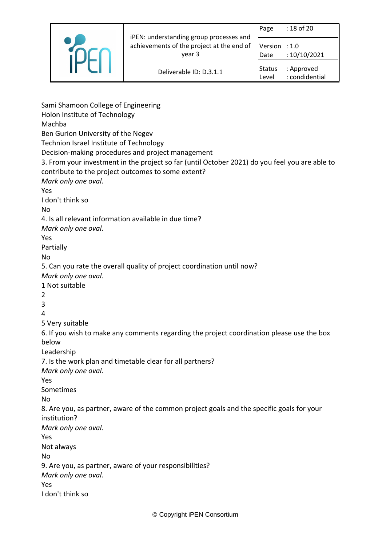|  | iPEN: understanding group processes and<br>achievements of the project at the end of<br>vear 3 | Page                   | : 18 of 20                   |
|--|------------------------------------------------------------------------------------------------|------------------------|------------------------------|
|  |                                                                                                | Version : 1.0<br>Date  | : 10/10/2021                 |
|  | Deliverable ID: D.3.1.1                                                                        | <b>Status</b><br>Level | : Approved<br>: condidential |

Sami Shamoon College of Engineering Holon Institute of Technology Machba Ben Gurion University of the Negev Technion Israel Institute of Technology Decision-making procedures and project management 3. From your investment in the project so far (until October 2021) do you feel you are able to contribute to the project outcomes to some extent? *Mark only one oval.* Yes I don't think so No 4. Is all relevant information available in due time? *Mark only one oval.* Yes Partially No 5. Can you rate the overall quality of project coordination until now? *Mark only one oval.* 1 Not suitable 2 3 4 5 Very suitable 6. If you wish to make any comments regarding the project coordination please use the box below Leadership 7. Is the work plan and timetable clear for all partners? *Mark only one oval.* Yes Sometimes No 8. Are you, as partner, aware of the common project goals and the specific goals for your institution? *Mark only one oval.* Yes Not always No 9. Are you, as partner, aware of your responsibilities? *Mark only one oval.* Yes I don't think so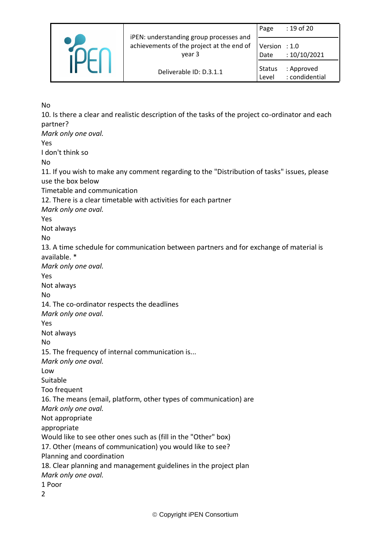|  | iPEN: understanding group processes and<br>achievements of the project at the end of<br>year 3 | Page                   | $: 19$ of 20                    |
|--|------------------------------------------------------------------------------------------------|------------------------|---------------------------------|
|  |                                                                                                | Version<br>Date        | $\therefore$ 1.0<br>:10/10/2021 |
|  | Deliverable ID: D.3.1.1                                                                        | <b>Status</b><br>Level | : Approved<br>: condidential    |

No

10. Is there a clear and realistic description of the tasks of the project co-ordinator and each partner? *Mark only one oval.* Yes I don't think so No 11. If you wish to make any comment regarding to the "Distribution of tasks" issues, please use the box below Timetable and communication 12. There is a clear timetable with activities for each partner *Mark only one oval.* Yes Not always No 13. A time schedule for communication between partners and for exchange of material is available. \* *Mark only one oval.* Yes Not always No 14. The co-ordinator respects the deadlines *Mark only one oval.* Yes Not always No 15. The frequency of internal communication is... *Mark only one oval.* Low Suitable Too frequent 16. The means (email, platform, other types of communication) are *Mark only one oval.* Not appropriate appropriate Would like to see other ones such as (fill in the "Other" box) 17. Other (means of communication) you would like to see? Planning and coordination 18. Clear planning and management guidelines in the project plan *Mark only one oval.* 1 Poor  $\overline{2}$